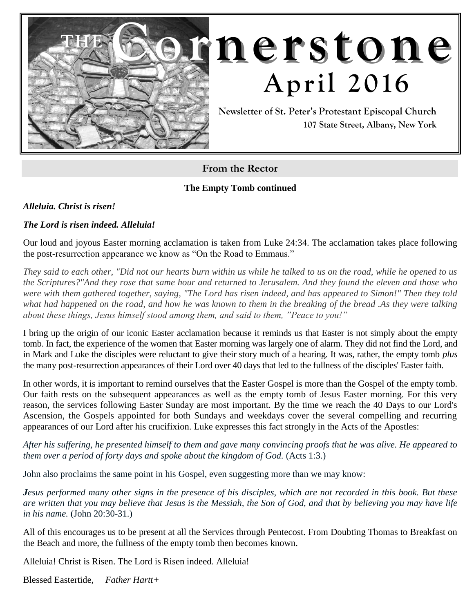

# **THE Cornerstone April 2016**

**Newsletter of St. Peter's Protestant Episcopal Church 107 State Street, Albany, New York**

**From the Rector**

**The Empty Tomb continued**

*Alleluia. Christ is risen!*

#### *The Lord is risen indeed. Alleluia!*

Our loud and joyous Easter morning acclamation is taken from Luke 24:34. The acclamation takes place following the post-resurrection appearance we know as "On the Road to Emmaus."

*They said to each other, "Did not our hearts burn within us while he talked to us on the road, while he opened to us the Scriptures?"And they rose that same hour and returned to Jerusalem. And they found the eleven and those who were with them gathered together, saying, "The Lord has risen indeed, and has appeared to Simon!" Then they told what had happened on the road, and how he was known to them in the breaking of the bread .As they were talking about these things, Jesus himself stood among them, and said to them, "Peace to you!"*

I bring up the origin of our iconic Easter acclamation because it reminds us that Easter is not simply about the empty tomb. In fact, the experience of the women that Easter morning was largely one of alarm. They did not find the Lord, and in Mark and Luke the disciples were reluctant to give their story much of a hearing. It was, rather, the empty tomb *plus*  the many post-resurrection appearances of their Lord over 40 days that led to the fullness of the disciples' Easter faith.

In other words, it is important to remind ourselves that the Easter Gospel is more than the Gospel of the empty tomb. Our faith rests on the subsequent appearances as well as the empty tomb of Jesus Easter morning. For this very reason, the services following Easter Sunday are most important. By the time we reach the 40 Days to our Lord's Ascension, the Gospels appointed for both Sundays and weekdays cover the several compelling and recurring appearances of our Lord after his crucifixion. Luke expresses this fact strongly in the Acts of the Apostles:

*After his suffering, he presented himself to them and gave many convincing proofs that he was alive. He appeared to them over a period of forty days and spoke about the kingdom of God.* (Acts 1:3.)

John also proclaims the same point in his Gospel, even suggesting more than we may know:

*Jesus performed many other signs in the presence of his disciples, which are not recorded in this book. But these are written that you may believe that Jesus is the Messiah, the Son of God, and that by believing you may have life in his name.* (John 20:30-31.)

All of this encourages us to be present at all the Services through Pentecost. From Doubting Thomas to Breakfast on the Beach and more, the fullness of the empty tomb then becomes known.

Alleluia! Christ is Risen. The Lord is Risen indeed. Alleluia!

Blessed Eastertide, *Father Hartt+*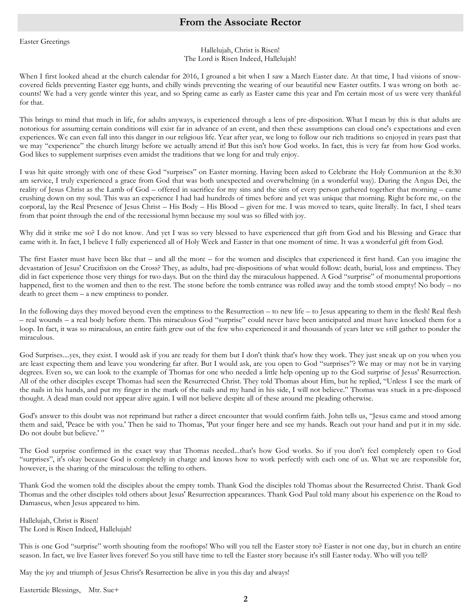Easter Greetings

#### Hallelujah, Christ is Risen! The Lord is Risen Indeed, Hallelujah!

When I first looked ahead at the church calendar for 2016, I groaned a bit when I saw a March Easter date. At that time, I had visions of snowcovered fields preventing Easter egg hunts, and chilly winds preventing the wearing of our beautiful new Easter outfits. I was wrong on both accounts! We had a very gentle winter this year, and so Spring came as early as Easter came this year and I'm certain most of us were very thankful for that.

This brings to mind that much in life, for adults anyways, is experienced through a lens of pre-disposition. What I mean by this is that adults are notorious for assuming certain conditions will exist far in advance of an event, and then these assumptions can cloud one's expectations and even experiences. We can even fall into this danger in our religious life. Year after year, we long to follow our rich traditions so enjoyed in years past that we may "experience" the church liturgy before we actually attend it! But this isn't how God works. In fact, this is very far from how God works. God likes to supplement surprises even amidst the traditions that we long for and truly enjoy.

I was hit quite strongly with one of these God "surprises" on Easter morning. Having been asked to Celebrate the Holy Communion at the 8:30 am service, I truly experienced a grace from God that was both unexpected and overwhelming (in a wonderful way). During the Angus Dei, the reality of Jesus Christ as the Lamb of God – offered in sacrifice for my sins and the sins of every person gathered together that morning – came crushing down on my soul. This was an experience I had had hundreds of times before and yet was unique that morning. Right before me, on the corporal, lay the Real Presence of Jesus Christ – His Body – His Blood – given for me. I was moved to tears, quite literally. In fact, I shed tears from that point through the end of the recessional hymn because my soul was so filled with joy.

Why did it strike me so? I do not know. And yet I was so very blessed to have experienced that gift from God and his Blessing and Grace that came with it. In fact, I believe I fully experienced all of Holy Week and Easter in that one moment of time. It was a wonderful gift from God.

The first Easter must have been like that – and all the more – for the women and disciples that experienced it first hand. Can you imagine the devastation of Jesus' Crucifixion on the Cross? They, as adults, had pre-dispositions of what would follow: death, burial, loss and emptiness. They did in fact experience those very things for two days. But on the third day the miraculous happened. A God "surprise" of monumental proportions happened, first to the women and then to the rest. The stone before the tomb entrance was rolled away and the tomb stood empty! No body – no death to greet them – a new emptiness to ponder.

In the following days they moved beyond even the emptiness to the Resurrection – to new life – to Jesus appearing to them in the flesh! Real flesh – real wounds – a real body before them. This miraculous God "surprise" could never have been anticipated and must have knocked them for a loop. In fact, it was so miraculous, an entire faith grew out of the few who experienced it and thousands of years later we still gather to ponder the miraculous.

God Surprises....yes, they exist. I would ask if you are ready for them but I don't think that's how they work. They just sneak up on you when you are least expecting them and leave you wondering far after. But I would ask, are you open to God "surprises"? We may or may not be in varying degrees. Even so, we can look to the example of Thomas for one who needed a little help opening up to the God surprise of Jesus' Resurrection. All of the other disciples except Thomas had seen the Resurrected Christ. They told Thomas about Him, but he replied, "Unless I see the mark of the nails in his hands, and put my finger in the mark of the nails and my hand in his side, I will not believe." Thomas was stuck in a pre-disposed thought. A dead man could not appear alive again. I will not believe despite all of these around me pleading otherwise.

God's answer to this doubt was not reprimand but rather a direct encounter that would confirm faith. John tells us, "Jesus came and stood among them and said, 'Peace be with you.' Then he said to Thomas, 'Put your finger here and see my hands. Reach out your hand and put it in my side. Do not doubt but believe.'"

The God surprise confirmed in the exact way that Thomas needed...that's how God works. So if you don't feel completely open to God "surprises", it's okay because God is completely in charge and knows how to work perfectly with each one of us. What we are responsible for, however, is the sharing of the miraculous: the telling to others.

Thank God the women told the disciples about the empty tomb. Thank God the disciples told Thomas about the Resurrected Christ. Thank God Thomas and the other disciples told others about Jesus' Resurrection appearances. Thank God Paul told many about his experience on the Road to Damascus, when Jesus appeared to him.

Hallelujah, Christ is Risen! The Lord is Risen Indeed, Hallelujah!

This is one God "surprise" worth shouting from the rooftops! Who will you tell the Easter story to? Easter is not one day, but in church an entire season. In fact, we live Easter lives forever! So you still have time to tell the Easter story because it's still Easter today. Who will you tell?

May the joy and triumph of Jesus Christ's Resurrection be alive in you this day and always!

Eastertide Blessings, Mtr. Sue+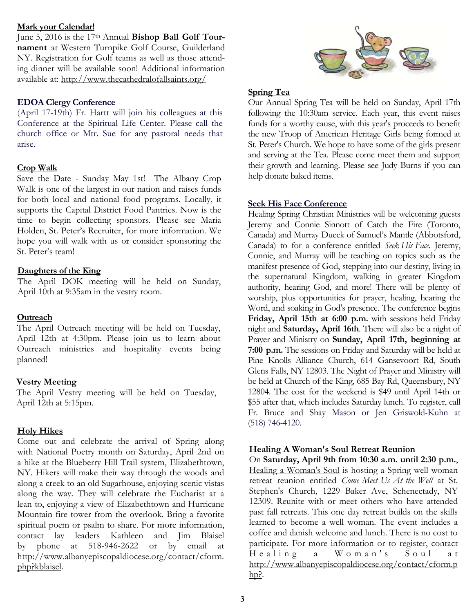#### **Mark your Calendar!**

June 5, 2016 is the 17th Annual **Bishop Ball Golf Tournament** at Western Turnpike Golf Course, Guilderland NY. Registration for Golf teams as well as those attending dinner will be available soon! Additional information available at: <http://www.thecathedralofallsaints.org/>

#### **EDOA Clergy Conference**

(April 17-19th) Fr. Hartt will join his colleagues at this Conference at the Spiritual Life Center. Please call the church office or Mtr. Sue for any pastoral needs that arise.

#### **Crop Walk**

Save the Date - Sunday May 1st! The Albany Crop Walk is one of the largest in our nation and raises funds for both local and national food programs. Locally, it supports the Capital District Food Pantries. Now is the time to begin collecting sponsors. Please see Maria Holden, St. Peter's Recruiter, for more information. We hope you will walk with us or consider sponsoring the St. Peter's team!

#### **Daughters of the King**

The April DOK meeting will be held on Sunday, April 10th at 9:35am in the vestry room.

#### **Outreach**

The April Outreach meeting will be held on Tuesday, April 12th at 4:30pm. Please join us to learn about Outreach ministries and hospitality events being planned!

#### **Vestry Meeting**

The April Vestry meeting will be held on Tuesday, April 12th at 5:15pm.

#### **Holy Hikes**

Come out and celebrate the arrival of Spring along with National Poetry month on Saturday, April 2nd on a hike at the Blueberry Hill Trail system, Elizabethtown, NY. Hikers will make their way through the woods and along a creek to an old Sugarhouse, enjoying scenic vistas along the way. They will celebrate the Eucharist at a lean-to, enjoying a view of Elizabethtown and Hurricane Mountain fire tower from the overlook. Bring a favorite spiritual poem or psalm to share. For more information, contact lay leaders Kathleen and Jim Blaisel by phone at 518-946-2622 or by email at [http://www.albanyepiscopaldiocese.org/contact/cform.](http://www.albanyepiscopaldiocese.org/contact/cform.php?kblaisel) [php?kblaisel.](http://www.albanyepiscopaldiocese.org/contact/cform.php?kblaisel)



#### **Spring Tea**

Our Annual Spring Tea will be held on Sunday, April 17th following the 10:30am service. Each year, this event raises funds for a worthy cause, with this year's proceeds to benefit the new Troop of American Heritage Girls being formed at St. Peter's Church. We hope to have some of the girls present and serving at the Tea. Please come meet them and support their growth and learning. Please see Judy Burns if you can help donate baked items.

#### **Seek His Face Conference**

[Healing Spring Christian Ministries](http://www.healingspring.org/) will be welcoming guests Jeremy and Connie Sinnott of [Catch the Fire](http://catchthefire.com/) (Toronto, Canada) and Murray Dueck of [Samuel's Mantle](https://www.samuelsmantle.com/) (Abbotsford, Canada) to for a conference entitled *Seek His Face*. Jeremy, Connie, and Murray will be teaching on topics such as the manifest presence of God, stepping into our destiny, living in the supernatural Kingdom, walking in greater Kingdom authority, hearing God, and more! There will be plenty of worship, plus opportunities for prayer, healing, hearing the Word, and soaking in God's presence. The conference begins **Friday, April 15th at 6:00 p.m.** with sessions held Friday night and **Saturday, April 16th**. There will also be a night of Prayer and Ministry on **Sunday, April 17th, beginning at 7:00 p.m.** The sessions on Friday and Saturday will be held at [Pine Knolls Alliance Church,](http://www.pineknolls.net/) 614 Gansevoort Rd, South Glens Falls, NY 12803. The Night of Prayer and Ministry will be held at [Church of the King,](http://www.churchoftheking.com/) 685 Bay Rd, Queensbury, NY 12804. The cost for the weekend is \$49 until April 14th or \$55 after that, which includes Saturday lunch. To register, call Fr. Bruce and Shay Mason or Jen Griswold-Kuhn at (518) 746-4120.

#### **Healing A Woman's Soul Retreat Reunion**

On **Saturday, April 9th from 10:30 a.m. until 2:30 p.m.**, [Healing a Woman's Soul](https://sites.google.com/site/healingawomanssoul/) is hosting a Spring well woman retreat reunion entitled *Come Meet Us At the Well* at [St.](http://www.saintstephenschenectady.org/)  [Stephen's Church,](http://www.saintstephenschenectady.org/) 1229 Baker Ave, Schenectady, NY 12309. Reunite with or meet others who have attended past fall retreats. This one day retreat builds on the skills learned to become a well woman. The event includes a coffee and danish welcome and lunch. There is no cost to participate. For more information or to register, contact Healing a Woman's Soul at http://www.albanyepiscopaldiocese.org/contact/cform.p  $hp$ ?.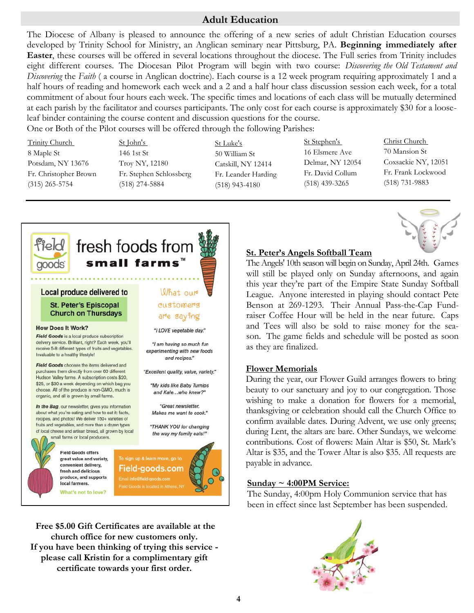## **Adult Education**

The Diocese of Albany is pleased to announce the offering of a new series of adult Christian Education courses developed by Trinity School for Ministry, an Anglican seminary near Pittsburg, PA. **Beginning immediately after Easter**, these courses will be offered in several locations throughout the diocese. The Full series from Trinity includes eight different courses. The Diocesan Pilot Program will begin with two course: *Discovering the Old Testament and Discovering* the *Faith* ( a course in Anglican doctrine). Each course is a 12 week program requiring approximately 1 and a half hours of reading and homework each week and a 2 and a half hour class discussion session each week, for a total commitment of about four hours each week. The specific times and locations of each class will be mutually determined at each parish by the facilitator and courses participants. The only cost for each course is approximately \$30 for a looseleaf binder containing the course content and discussion questions for the course.

One or Both of the Pilot courses will be offered through the following Parishes:

Trinity Church 8 Maple St Potsdam, NY 13676 Fr. Christopher Brown (315) 265-5754

St John's 146 1st St Troy NY, 12180 Fr. Stephen Schlossberg (518) 274-5884

St Luke's 50 William St Catskill, NY 12414 Fr. Leander Harding (518) 943-4180

St Stephen's 16 Elsmere Ave Delmar, NY 12054 Fr. David Collum (518) 439-3265

Christ Church 70 Mansion St Coxsackie NY, 12051 Fr. Frank Lockwood (518) 731-9883



**Free \$5.00 Gift Certificates are available at the church office for new customers only. If you have been thinking of trying this service please call Kristin for a complimentary gift certificate towards your first order.** 

#### **St. Peter's Angels Softball Team**

The Angels' 10th season will begin on Sunday, April 24th. Games will still be played only on Sunday afternoons, and again this year they're part of the Empire State Sunday Softball League. Anyone interested in playing should contact Pete Benson at 269-1293. Their Annual Pass-the-Cap Fundraiser Coffee Hour will be held in the near future. Caps and Tees will also be sold to raise money for the season. The game fields and schedule will be posted as soon as they are finalized.

#### **Flower Memorials**

During the year, our Flower Guild arranges flowers to bring beauty to our sanctuary and joy to our congregation. Those wishing to make a donation for flowers for a memorial, thanksgiving or celebration should call the Church Office to confirm available dates. During Advent, we use only greens; during Lent, the altars are bare. Other Sundays, we welcome contributions. Cost of flowers: Main Altar is \$50, St. Mark's Altar is \$35, and the Tower Altar is also \$35. All requests are payable in advance.

#### **Sunday ~ 4:00PM Service:**

The Sunday, 4:00pm Holy Communion service that has been in effect since last September has been suspended.

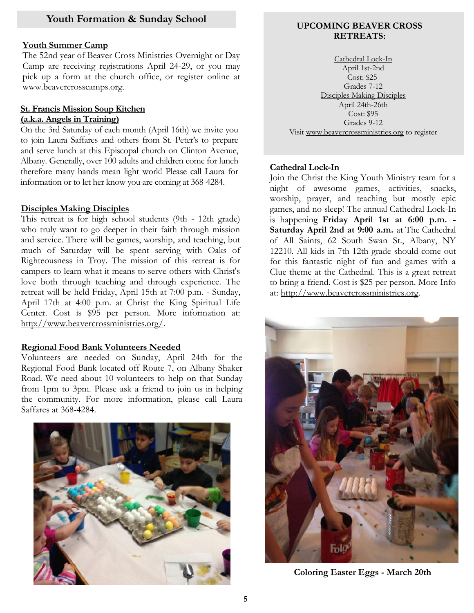#### **Youth Summer Camp**

The 52nd year of Beaver Cross Ministries Overnight or Day Camp are receiving registrations April 24-29, or you may pick up a form at the church office, or register online at www.beavercrosscamps.org.

#### **St. Francis Mission Soup Kitchen (a.k.a. Angels in Training)**

On the 3rd Saturday of each month (April 16th) we invite you to join Laura Saffares and others from St. Peter's to prepare and serve lunch at this Episcopal church on Clinton Avenue, Albany. Generally, over 100 adults and children come for lunch therefore many hands mean light work! Please call Laura for information or to let her know you are coming at 368-4284.

#### **Disciples Making Disciples**

This retreat is for high school students (9th - 12th grade) who truly want to go deeper in their faith through mission and service. There will be games, worship, and teaching, but much of Saturday will be spent serving with Oaks of Righteousness in Troy. The mission of this retreat is for campers to learn what it means to serve others with Christ's love both through teaching and through experience. The retreat will be held Friday, April 15th at 7:00 p.m. - Sunday, April 17th at 4:00 p.m. at Christ the King Spiritual Life Center. Cost is \$95 per person. More information at: http://www.beavercrossministries.org/.

#### **Regional Food Bank Volunteers Needed**

Volunteers are needed on Sunday, April 24th for the Regional Food Bank located off Route 7, on Albany Shaker Road. We need about 10 volunteers to help on that Sunday from 1pm to 3pm. Please ask a friend to join us in helping the community. For more information, please call Laura Saffares at 368-4284.



#### **UPCOMING BEAVER CROSS RETREATS:**

[Cathedral Lock-In](http://r20.rs6.net/tn.jsp?f=0018LqWz4n9_KZ1p2y6SD7f16dFGgtlYSJ0ZOkdkrUuwQ4_fGVUTw-YrvYAYMb4Xwd13iAYwfFGT6YHn7mkViMVzD3P_pjTZVovzWujO0625aaG374BNpZBVbd1GD0a3A6tD9cpyt-eLPkT4EM-jNrYYa7CRJ3Wxs4ua4OFdAM2yn9fLE8tCtrRKRTfjB1Q_JekDJWnltdJ7uqdw789G-eL3A==&c=6aBDYhy0y) April 1st-2nd Cost: \$25 Grades 7-12 [Disciples Making Disciples](http://r20.rs6.net/tn.jsp?f=0018LqWz4n9_KZ1p2y6SD7f16dFGgtlYSJ0ZOkdkrUuwQ4_fGVUTw-YrvYAYMb4Xwd13iAYwfFGT6YHn7mkViMVzD3P_pjTZVovzWujO0625aaG374BNpZBVbd1GD0a3A6tD9cpyt-eLPkT4EM-jNrYYa7CRJ3Wxs4ua4OFdAM2yn9fLE8tCtrRKRTfjB1Q_JekDJWnltdJ7uqdw789G-eL3A==&c=6aBDYhy0y) April 24th-26th Cost: \$95 Grades 9-12 Visit [www.beavercrossministries.org](http://r20.rs6.net/tn.jsp?f=0018LqWz4n9_KZ1p2y6SD7f16dFGgtlYSJ0ZOkdkrUuwQ4_fGVUTw-YrpdBzQUQB7CdQ6BBr-gqiNntHmNMDYNuMJxTIhdG_iBPR0eDTf2XGklQSq90EPe34JrK5OOQJxmKVsUXNXTBFJ-Mck0fOBoNeHxxc80AQw7iNNT3yk5b16KgDrsGQfb7Rwrilfm-5SkQ&c=6aBDYhy0yyXhUmxSVFswakkFTdlLsSdzr) to register

#### **Cathedral Lock-In**

Join the [Christ the King](http://www.churchoftheking.com/) Youth Ministry team for a night of awesome games, activities, snacks, worship, prayer, and teaching but mostly epic games, and no sleep! The annual Cathedral Lock-In is happening **Friday April 1st at 6:00 p.m. - Saturday April 2nd at 9:00 a.m.** at The Cathedral of All Saints, 62 South Swan St., Albany, NY 12210. All kids in 7th-12th grade should come out for this fantastic night of fun and games with a Clue theme at the Cathedral. This is a great retreat to bring a friend. Cost is \$25 per person. More Info at: http://www.beavercrossministries.org.



**Coloring Easter Eggs - March 20th**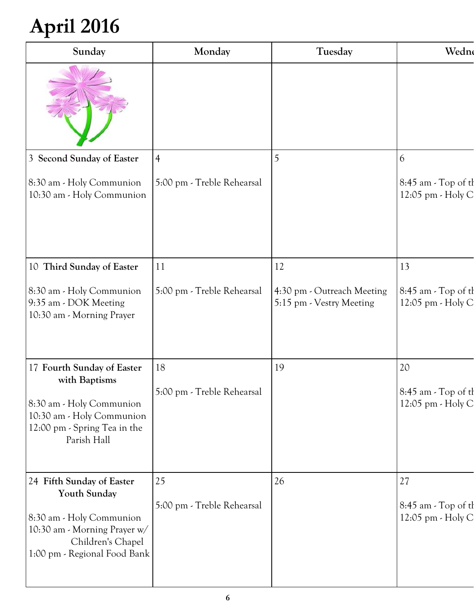## **April 2016**

| Sunday                                                                                                                                                     | Monday                           | Tuesday                                                | Wedne                                          |
|------------------------------------------------------------------------------------------------------------------------------------------------------------|----------------------------------|--------------------------------------------------------|------------------------------------------------|
|                                                                                                                                                            |                                  |                                                        |                                                |
| 3 Second Sunday of Easter                                                                                                                                  |                                  |                                                        |                                                |
| 8:30 am - Holy Communion<br>10:30 am - Holy Communion                                                                                                      | 5:00 pm - Treble Rehearsal       |                                                        | 8:45 am - Top of th<br>12:05 pm - Holy C       |
| 10 Third Sunday of Easter                                                                                                                                  | 11                               | 12                                                     | 13                                             |
| 8:30 am - Holy Communion<br>9:35 am - DOK Meeting<br>10:30 am - Morning Prayer                                                                             | 5:00 pm - Treble Rehearsal       | 4:30 pm - Outreach Meeting<br>5:15 pm - Vestry Meeting | 8:45 am - Top of th<br>12:05 pm - Holy C       |
| 17 Fourth Sunday of Easter                                                                                                                                 | 18                               | 19                                                     | 20                                             |
| with Baptisms<br>8:30 am - Holy Communion<br>10:30 am - Holy Communion<br>12:00 pm - Spring Tea in the<br>Parish Hall                                      | 5:00 pm - Treble Rehearsal       |                                                        | 8:45 am - Top of th<br>12:05 pm - Holy C       |
| 24 Fifth Sunday of Easter<br>Youth Sunday<br>8:30 am - Holy Communion<br>10:30 am - Morning Prayer w/<br>Children's Chapel<br>1:00 pm - Regional Food Bank | 25<br>5:00 pm - Treble Rehearsal | 26                                                     | 27<br>8:45 am - Top of th<br>12:05 pm - Holy C |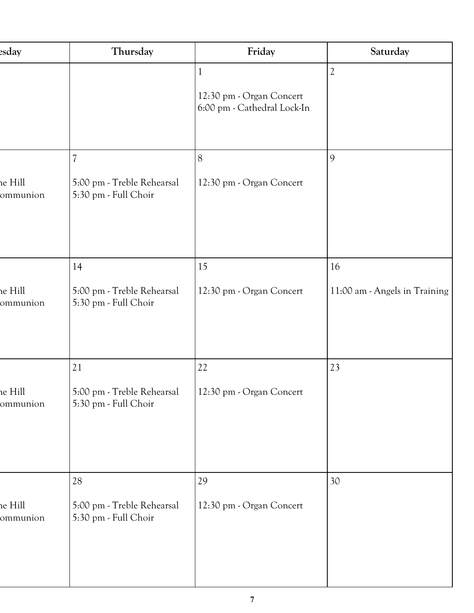| esday              | Thursday                                           | Friday                                                  | Saturday                      |
|--------------------|----------------------------------------------------|---------------------------------------------------------|-------------------------------|
|                    |                                                    |                                                         |                               |
|                    |                                                    | 12:30 pm - Organ Concert<br>6:00 pm - Cathedral Lock-In |                               |
|                    |                                                    |                                                         |                               |
|                    |                                                    | 8                                                       |                               |
| e Hill<br>ommunion | 5:00 pm - Treble Rehearsal<br>5:30 pm - Full Choir | 12:30 pm - Organ Concert                                |                               |
|                    |                                                    |                                                         |                               |
|                    | 14                                                 | 15                                                      | 16                            |
| e Hill<br>ommunion | 5:00 pm - Treble Rehearsal<br>5:30 pm - Full Choir | 12:30 pm - Organ Concert                                | 11:00 am - Angels in Training |
|                    |                                                    |                                                         |                               |
|                    | 21                                                 | 22                                                      | 23                            |
| e Hill<br>ommunion | 5:00 pm - Treble Rehearsal<br>5:30 pm - Full Choir | 12:30 pm - Organ Concert                                |                               |
|                    |                                                    |                                                         |                               |
|                    |                                                    |                                                         |                               |
|                    | 28                                                 | 29                                                      | 30                            |
| e Hill<br>ommunion | 5:00 pm - Treble Rehearsal<br>5:30 pm - Full Choir | 12:30 pm - Organ Concert                                |                               |
|                    |                                                    |                                                         |                               |
|                    |                                                    |                                                         |                               |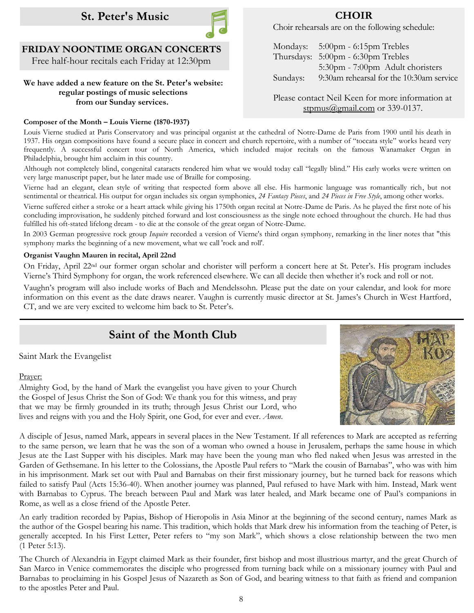



## **FRIDAY NOONTIME ORGAN CONCERTS**

Free half-hour recitals each Friday at 12:30pm

#### **We have added a new feature on the St. Peter's website: regular postings of music selections from our Sunday services.**

#### **Composer of the Month – Louis Vierne (1870-1937)**

Choir rehearsals are on the following schedule:

|          | Mondays: 5:00pm - 6:15pm Trebles         |
|----------|------------------------------------------|
|          | Thursdays: 5:00pm - 6:30pm Trebles       |
|          | 5:30pm - 7:00pm Adult choristers         |
| Sundays: | 9:30am rehearsal for the 10:30am service |
|          |                                          |

Please contact Neil Keen for more information at [stpmus@gmail.com](mailto:stpmus@gmail.com) or 339-0137.

Louis Vierne studied at [Paris Conservatory a](https://en.wikipedia.org/wiki/Paris_Conservatory)nd was principal organist at the cathedral of Notre-Dame de Paris from 1900 until his death in 1937. His organ compositions have found a secure place in concert and church repertoire, with a number of "toccata style" works heard very frequently. A successful concert tour of North America, which included major recitals on the famous Wanamaker Organ in Philadelphia, brought him acclaim in this country.

Although not completely blind, congenital cataracts rendered him what we would today call "legally blind." His early works were written on very large manuscript paper, but he later made use of Braille for composing.

Vierne had an elegant, clean style of writing that respected form above all else. His harmonic language was romantically rich, but not sentimental or theatrical. His output for organ includes six organ symphonies, *24 Fantasy Pieces*, and *24 Pieces in Free Style*, among other works.

Vierne suffered either a stroke or a heart attack while giving his 1750th organ recital at Notre-Dame de Paris. As he played the first note of his concluding improvisation, he suddenly pitched forward and lost consciousness as the single note echoed throughout the church. He had thus fulfilled his oft-stated lifelong dream - to die at the console of the great organ of Notre-Dame.

In 2003 German [progressive rock](https://en.wikipedia.org/wiki/Progressive_rock) group *Inquire* recorded a version of Vierne's third organ symphony, remarking in the liner notes that "this symphony marks the beginning of a new movement, what we call '[rock and roll'.](https://en.wikipedia.org/wiki/Rock_and_roll)

#### **Organist Vaughn Mauren in recital, April 22nd**

On Friday, April 22<sup>nd</sup> our former organ scholar and chorister will perform a concert here at St. Peter's. His program includes Vierne's Third Symphony for organ, the work referenced elsewhere. We can all decide then whether it's rock and roll or not.

Vaughn's program will also include works of Bach and Mendelssohn. Please put the date on your calendar, and look for more information on this event as the date draws nearer. Vaughn is currently music director at St. James's Church in West Hartford, CT, and we are very excited to welcome him back to St. Peter's.

## **Saint of the Month Club**

Saint Mark the Evangelist

#### Prayer:



Almighty God, by the hand of Mark the evangelist you have given to your Church the Gospel of Jesus Christ the Son of God: We thank you for this witness, and pray that we may be firmly grounded in its truth; through Jesus Christ our Lord, who lives and reigns with you and the Holy Spirit, one God, for ever and ever. *Amen*.

A disciple of Jesus, named Mark, appears in several places in the New Testament. If all references to Mark are accepted as referring to the same person, we learn that he was the son of a woman who owned a house in Jerusalem, perhaps the same house in which Jesus ate the Last Supper with his disciples. Mark may have been the young man who fled naked when Jesus was arrested in the Garden of Gethsemane. In his letter to the Colossians, the Apostle Paul refers to "Mark the cousin of Barnabas", who was with him in his imprisonment. Mark set out with Paul and Barnabas on their first missionary journey, but he turned back for reasons which failed to satisfy Paul (Acts 15:36-40). When another journey was planned, Paul refused to have Mark with him. Instead, Mark went with Barnabas to Cyprus. The breach between Paul and Mark was later healed, and Mark became one of Paul's companions in Rome, as well as a close friend of the Apostle Peter.

An early tradition recorded by Papias, Bishop of Hieropolis in Asia Minor at the beginning of the second century, names Mark as the author of the Gospel bearing his name. This tradition, which holds that Mark drew his information from the teaching of Peter, is generally accepted. In his First Letter, Peter refers to "my son Mark", which shows a close relationship between the two men (1 Peter 5:13).

The Church of Alexandria in Egypt claimed Mark as their founder, first bishop and most illustrious martyr, and the great Church of San Marco in Venice commemorates the disciple who progressed from turning back while on a missionary journey with Paul and Barnabas to proclaiming in his Gospel Jesus of Nazareth as Son of God, and bearing witness to that faith as friend and companion to the apostles Peter and Paul.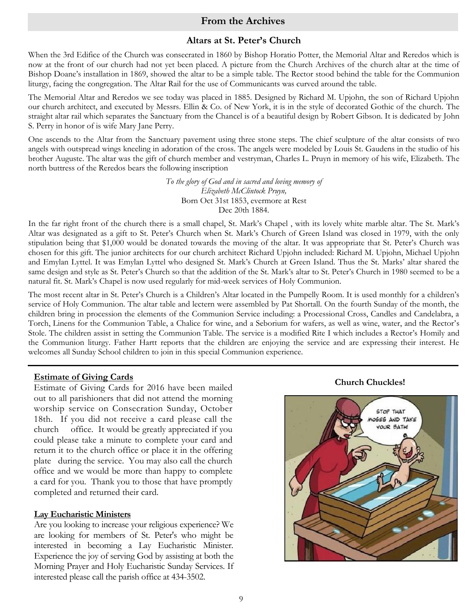#### **From the Archives**

#### **Altars at St. Peter's Church**

When the 3rd Edifice of the Church was consecrated in 1860 by Bishop Horatio Potter, the Memorial Altar and Reredos which is now at the front of our church had not yet been placed. A picture from the Church Archives of the church altar at the time of Bishop Doane's installation in 1869, showed the altar to be a simple table. The Rector stood behind the table for the Communion liturgy, facing the congregation. The Altar Rail for the use of Communicants was curved around the table.

The Memorial Altar and Reredos we see today was placed in 1885. Designed by Richard M. Upjohn, the son of Richard Upjohn our church architect, and executed by Messrs. Ellin & Co. of New York, it is in the style of decorated Gothic of the church. The straight altar rail which separates the Sanctuary from the Chancel is of a beautiful design by Robert Gibson. It is dedicated by John S. Perry in honor of is wife Mary Jane Perry.

One ascends to the Altar from the Sanctuary pavement using three stone steps. The chief sculpture of the altar consists of two angels with outspread wings kneeling in adoration of the cross. The angels were modeled by Louis St. Gaudens in the studio of his brother Auguste. The altar was the gift of church member and vestryman, Charles L. Pruyn in memory of his wife, Elizabeth. The north buttress of the Reredos bears the following inscription

> *To the glory of God and in sacred and loving memory of Elizabeth McClintock Pruyn,* Born Oct 31st 1853, evermore at Rest Dec 20th 1884.

In the far right front of the church there is a small chapel, St. Mark's Chapel , with its lovely white marble altar. The St. Mark's Altar was designated as a gift to St. Peter's Church when St. Mark's Church of Green Island was closed in 1979, with the only stipulation being that \$1,000 would be donated towards the moving of the altar. It was appropriate that St. Peter's Church was chosen for this gift. The junior architects for our church architect Richard Upjohn included: Richard M. Upjohn, Michael Upjohn and Emylan Lyttel. It was Emylan Lyttel who designed St. Mark's Church at Green Island. Thus the St. Marks' altar shared the same design and style as St. Peter's Church so that the addition of the St. Mark's altar to St. Peter's Church in 1980 seemed to be a natural fit. St. Mark's Chapel is now used regularly for mid-week services of Holy Communion.

The most recent altar in St. Peter's Church is a Children's Altar located in the Pumpelly Room. It is used monthly for a children's service of Holy Communion. The altar table and lectern were assembled by Pat Shortall. On the fourth Sunday of the month, the children bring in procession the elements of the Communion Service including: a Processional Cross, Candles and Candelabra, a Torch, Linens for the Communion Table, a Chalice for wine, and a Seborium for wafers, as well as wine, water, and the Rector's Stole. The children assist in setting the Communion Table. The service is a modified Rite I which includes a Rector's Homily and the Communion liturgy. Father Hartt reports that the children are enjoying the service and are expressing their interest. He welcomes all Sunday School children to join in this special Communion experience.

**Church Chuckles! Estimate of Giving Cards** Estimate of Giving Cards for 2016 have been mailed out to all parishioners that did not attend the morning worship service on Consecration Sunday, October 18th. If you did not receive a card please call the church office. It would be greatly appreciated if you could please take a minute to complete your card and return it to the church office or place it in the offering plate during the service. You may also call the church office and we would be more than happy to complete a card for you. Thank you to those that have promptly completed and returned their card.

#### **Lay Eucharistic Ministers**

Are you looking to increase your religious experience? We are looking for members of St. Peter's who might be interested in becoming a Lay Eucharistic Minister. Experience the joy of serving God by assisting at both the Morning Prayer and Holy Eucharistic Sunday Services. If interested please call the parish office at 434-3502.

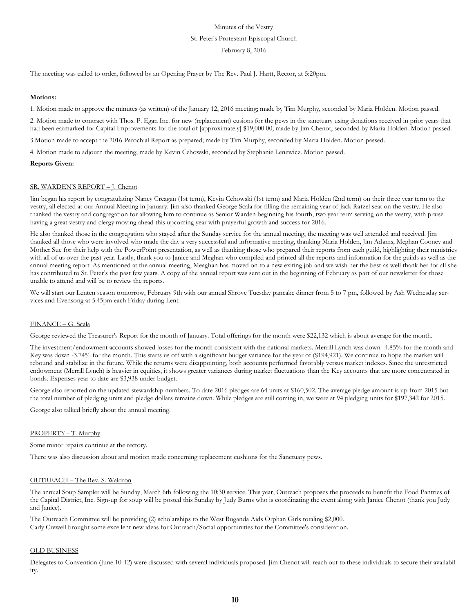#### Minutes of the Vestry St. Peter's Protestant Episcopal Church February 8, 2016

The meeting was called to order, followed by an Opening Prayer by The Rev. Paul J. Hartt, Rector, at 5:20pm.

#### **Motions:**

1. Motion made to approve the minutes (as written) of the January 12, 2016 meeting; made by Tim Murphy, seconded by Maria Holden. Motion passed.

2. Motion made to contract with Thos. P. Egan Inc. for new (replacement) cusions for the pews in the sanctuary using donations received in prior years that had been earmarked for Capital Improvements for the total of [approximately] \$19,000.00; made by Jim Chenot, seconded by Maria Holden. Motion passed.

3.Motion made to accept the 2016 Parochial Report as prepared; made by Tim Murphy, seconded by Maria Holden. Motion passed.

4. Motion made to adjourn the meeting; made by Kevin Cehowski, seconded by Stephanie Lenewicz. Motion passed.

#### **Reports Given:**

#### SR. WARDEN'S REPORT – J. Chenot

Jim began his report by congratulating Nancy Creagan (1st term), Kevin Cehowski (1st term) and Maria Holden (2nd term) on their three year term to the vestry, all elected at our Annual Meeting in January. Jim also thanked George Scala for filling the remaining year of Jack Ratzel seat on the vestry. He also thanked the vestry and congregation for allowing him to continue as Senior Warden beginning his fourth, two year term serving on the vestry, with praise having a great vestry and clergy moving ahead this upcoming year with prayerful growth and success for 2016.

He also thanked those in the congregation who stayed after the Sunday service for the annual meeting, the meeting was well attended and received. Jim thanked all those who were involved who made the day a very successful and informative meeting, thanking Maria Holden, Jim Adams, Meghan Cooney and Mother Sue for their help with the PowerPoint presentation, as well as thanking those who prepared their reports from each guild, highlighting their ministries with all of us over the past year. Lastly, thank you to Janice and Meghan who compiled and printed all the reports and information for the guilds as well as the annual meeting report. As mentioned at the annual meeting, Meaghan has moved on to a new exiting job and we wish her the best as well thank her for all she has contributed to St. Peter's the past few years. A copy of the annual report was sent out in the beginning of February as part of our newsletter for those unable to attend and will be to review the reports.

We will start our Lenten season tomorrow, February 9th with our annual Shrove Tuesday pancake dinner from 5 to 7 pm, followed by Ash Wednesday services and Evensong at 5:45pm each Friday during Lent.

#### FINANCE – G. Scala

George reviewed the Treasurer's Report for the month of January. Total offerings for the month were \$22,132 which is about average for the month.

The investment/endowment accounts showed losses for the month consistent with the national markets. Merrill Lynch was down -4.85% for the month and Key was down -3.74% for the month. This starts us off with a significant budget variance for the year of (\$194,921). We continue to hope the market will rebound and stabilize in the future. While the returns were disappointing, both accounts performed favorably versus market indexes. Since the unrestricted endowment (Merrill Lynch) is heavier in equities, it shows greater variances during market fluctuations than the Key accounts that are more concentrated in bonds. Expenses year to date are \$3,938 under budget.

George also reported on the updated stewardship numbers. To date 2016 pledges are 64 units at \$160,502. The average pledge amount is up from 2015 but the total number of pledging units and pledge dollars remains down. While pledges are still coming in, we were at 94 pledging units for \$197,342 for 2015.

George also talked briefly about the annual meeting.

#### PROPERTY - T. Murphy

Some minor repairs continue at the rectory.

There was also discussion about and motion made concerning replacement cushions for the Sanctuary pews.

#### OUTREACH – The Rev. S. Waldron

The annual Soup Sampler will be Sunday, March 6th following the 10:30 service. This year, Outreach proposes the proceeds to benefit the Food Pantries of the Capital District, Inc. Sign-up for soup will be posted this Sunday by Judy Burns who is coordinating the event along with Janice Chenot (thank you Judy and Janice).

The Outreach Committee will be providing (2) scholarships to the West Buganda Aids Orphan Girls totaling \$2,000. Carly Crewell brought some excellent new ideas for Outreach/Social opportunities for the Committee's consideration.

#### OLD BUSINESS

Delegates to Convention (June 10-12) were discussed with several individuals proposed. Jim Chenot will reach out to these individuals to secure their availability.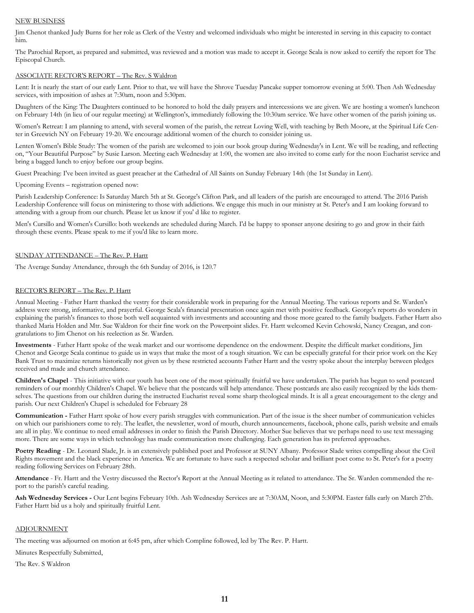#### NEW BUSINESS

Jim Chenot thanked Judy Burns for her role as Clerk of the Vestry and welcomed individuals who might be interested in serving in this capacity to contact him.

The Parochial Report, as prepared and submitted, was reviewed and a motion was made to accept it. George Scala is now asked to certify the report for The Episcopal Church.

#### ASSOCIATE RECTOR'S REPORT – The Rev. S Waldron

Lent: It is nearly the start of our early Lent. Prior to that, we will have the Shrove Tuesday Pancake supper tomorrow evening at 5:00. Then Ash Wednesday services, with imposition of ashes at 7:30am, noon and 5:30pm.

Daughters of the King: The Daughters continued to be honored to hold the daily prayers and intercessions we are given. We are hosting a women's luncheon on February 14th (in lieu of our regular meeting) at Wellington's, immediately following the 10:30am service. We have other women of the parish joining us.

Women's Retreat: I am planning to attend, with several women of the parish, the retreat Loving Well, with teaching by Beth Moore, at the Spiritual Life Center in Greewich NY on February 19-20. We encourage additional women of the church to consider joining us.

Lenten Women's Bible Study: The women of the parish are welcomed to join our book group during Wednesday's in Lent. We will be reading, and reflecting on, "Your Beautiful Purpose" by Susie Larson. Meeting each Wednesday at 1:00, the women are also invited to come early for the noon Eucharist service and bring a bagged lunch to enjoy before our group begins.

Guest Preaching: I've been invited as guest preacher at the Cathedral of All Saints on Sunday February 14th (the 1st Sunday in Lent).

Upcoming Events – registration opened now:

Parish Leadership Conference: Is Saturday March 5th at St. George's Clifton Park, and all leaders of the parish are encouraged to attend. The 2016 Parish Leadership Conference will focus on ministering to those with addictions. We engage this much in our ministry at St. Peter's and I am looking forward to attending with a group from our church. Please let us know if you' d like to register.

Men's Cursillo and Women's Cursillo: both weekends are scheduled during March. I'd be happy to sponser anyone desiring to go and grow in their faith through these events. Please speak to me if you'd like to learn more.

#### SUNDAY ATTENDANCE – The Rev. P. Hartt

The Average Sunday Attendance, through the 6th Sunday of 2016, is 120.7

#### RECTOR'S REPORT – The Rev. P. Hartt

Annual Meeting - Father Hartt thanked the vestry for their considerable work in preparing for the Annual Meeting. The various reports and Sr. Warden's address were strong, informative, and prayerful. George Scala's financial presentation once again met with positive feedback. George's reports do wonders in explaining the parish's finances to those both well acquainted with investments and accounting and those more geared to the family budgets. Father Hartt also thanked Maria Holden and Mtr. Sue Waldron for their fine work on the Powerpoint slides. Fr. Hartt welcomed Kevin Cehowski, Nancy Creagan, and congratulations to Jim Chenot on his reelection as Sr. Warden.

**Investments** - Father Hartt spoke of the weak market and our worrisome dependence on the endowment. Despite the difficult market conditions, Jim Chenot and George Scala continue to guide us in ways that make the most of a tough situation. We can be especially grateful for their prior work on the Key Bank Trust to maximize returns historically not given us by these restricted accounts Father Hartt and the vestry spoke about the interplay between pledges received and made and church attendance.

**Children's Chapel** - This initiative with our youth has been one of the most spiritually fruitful we have undertaken. The parish has begun to send postcard reminders of our monthly Children's Chapel. We believe that the postcards will help attendance. These postcards are also easily recognized by the kids themselves. The questions from our children during the instructed Eucharist reveal some sharp theological minds. It is all a great encouragement to the clergy and parish. Our next Children's Chapel is scheduled for February 28

**Communication -** Father Hartt spoke of how every parish struggles with communication. Part of the issue is the sheer number of communication vehicles on which our parishioners come to rely. The leaflet, the newsletter, word of mouth, church announcements, facebook, phone calls, parish website and emails are all in play. We continue to need email addresses in order to finish the Parish Directory. Mother Sue believes that we perhaps need to use text messaging more. There are some ways in which technology has made communication more challenging. Each generation has its preferred approaches.

Poetry Reading - Dr. Leonard Slade, Jr. is an extensively published poet and Professor at SUNY Albany. Professor Slade writes compelling about the Civil Rights movement and the black experience in America. We are fortunate to have such a respected scholar and brilliant poet come to St. Peter's for a poetry reading following Services on February 28th.

**Attendance** - Fr. Hartt and the Vestry discussed the Rector's Report at the Annual Meeting as it related to attendance. The Sr. Warden commended the report to the parish's careful reading.

**Ash Wednesday Services -** Our Lent begins February 10th. Ash Wednesday Services are at 7:30AM, Noon, and 5:30PM. Easter falls early on March 27th. Father Hartt bid us a holy and spiritually fruitful Lent.

#### ADJOURNMENT

The meeting was adjourned on motion at 6:45 pm, after which Compline followed, led by The Rev. P. Hartt.

Minutes Respectfully Submitted,

The Rev. S Waldron